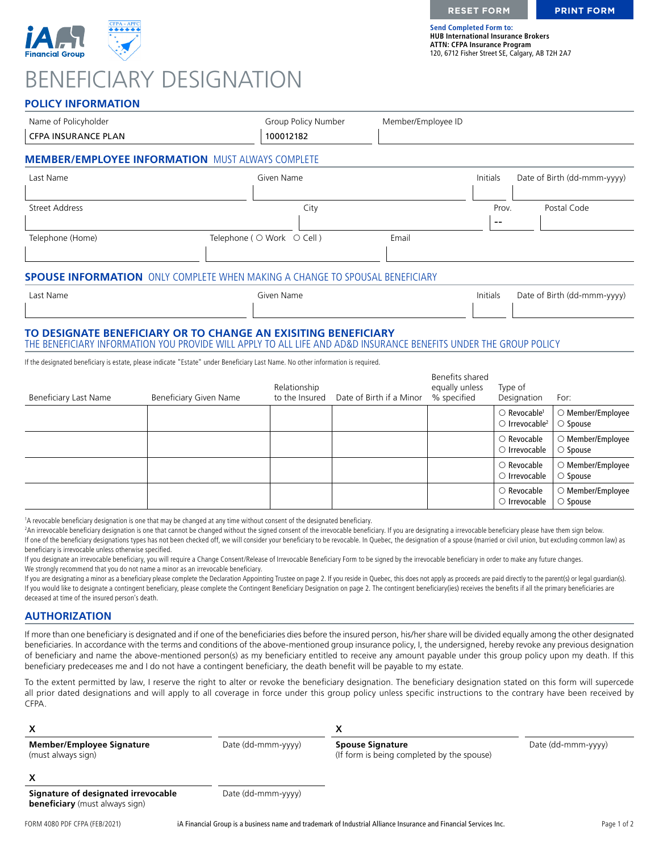

# BENEFICIARY DESIGNATION

**Send Completed Form to: HUB International Insurance Brokers ATTN: CFPA Insurance Program** 120, 6712 Fisher Street SE, Calgary, AB T2H 2A7

### **POLICY INFORMATION**

| Name of Policyholder                                                                                                                                                                |                        | Group Policy Number            | Member/Employee ID       |                                                  |                                                                          |                                              |
|-------------------------------------------------------------------------------------------------------------------------------------------------------------------------------------|------------------------|--------------------------------|--------------------------|--------------------------------------------------|--------------------------------------------------------------------------|----------------------------------------------|
| <b>CFPA INSURANCE PLAN</b>                                                                                                                                                          |                        | 100012182                      |                          |                                                  |                                                                          |                                              |
| <b>MEMBER/EMPLOYEE INFORMATION</b> MUST ALWAYS COMPLETE                                                                                                                             |                        |                                |                          |                                                  |                                                                          |                                              |
| Last Name                                                                                                                                                                           |                        | Given Name                     |                          | Initials                                         |                                                                          | Date of Birth (dd-mmm-yyyy)                  |
| <b>Street Address</b>                                                                                                                                                               |                        | City                           |                          |                                                  | Prov.<br>$\sim$ $\sim$                                                   | Postal Code                                  |
| Telephone (Home)                                                                                                                                                                    |                        | Telephone ( ○ Work ○ Cell )    | Email                    |                                                  |                                                                          |                                              |
| <b>SPOUSE INFORMATION</b> ONLY COMPLETE WHEN MAKING A CHANGE TO SPOUSAL BENEFICIARY                                                                                                 |                        |                                |                          |                                                  |                                                                          |                                              |
| Last Name                                                                                                                                                                           |                        | Given Name                     |                          | <b>Initials</b>                                  |                                                                          | Date of Birth (dd-mmm-yyyy)                  |
| TO DESIGNATE BENEFICIARY OR TO CHANGE AN EXISITING BENEFICIARY<br>THE BENEFICIARY INFORMATION YOU PROVIDE WILL APPLY TO ALL LIFE AND AD&D INSURANCE BENEFITS UNDER THE GROUP POLICY |                        |                                |                          |                                                  |                                                                          |                                              |
| If the designated beneficiary is estate, please indicate "Estate" under Beneficiary Last Name. No other information is required.                                                    |                        |                                |                          |                                                  |                                                                          |                                              |
| <b>Beneficiary Last Name</b>                                                                                                                                                        | Beneficiary Given Name | Relationship<br>to the Insured | Date of Birth if a Minor | Benefits shared<br>equally unless<br>% specified | Type of<br>Designation                                                   | For:                                         |
|                                                                                                                                                                                     |                        |                                |                          |                                                  | $\bigcirc$ Revocable <sup>1</sup><br>$\bigcirc$ Irrevocable <sup>2</sup> | $\bigcirc$ Member/Employee<br>$\circ$ Spouse |
|                                                                                                                                                                                     |                        |                                |                          |                                                  | $\bigcirc$ Revocable<br>$\bigcirc$ Irrevocable                           | $\bigcirc$ Member/Employee<br>$\circ$ Spouse |
|                                                                                                                                                                                     |                        |                                |                          |                                                  | $\bigcirc$ Revocable<br>$\circ$ Irrevocable                              | $\bigcirc$ Member/Employee<br>$\circ$ Spouse |
|                                                                                                                                                                                     |                        |                                |                          |                                                  | $\bigcirc$ Revocable<br>$\bigcirc$ Irrevocable                           | $\bigcirc$ Member/Employee<br>$\circ$ Spouse |

1 A revocable beneficiary designation is one that may be changed at any time without consent of the designated beneficiary.

<sup>2</sup>An irrevocable beneficiary designation is one that cannot be changed without the signed consent of the irrevocable beneficiary. If you are designating a irrevocable beneficiary please have them sign below. If one of the beneficiary designations types has not been checked off, we will consider your beneficiary to be revocable. In Quebec, the designation of a spouse (married or civil union, but excluding common law) as beneficiary is irrevocable unless otherwise specified.

If you designate an irrevocable beneficiary, you will require a Change Consent/Release of Irrevocable Beneficiary Form to be signed by the irrevocable beneficiary in order to make any future changes. We strongly recommend that you do not name a minor as an irrevocable beneficiary.

If you are designating a minor as a beneficiary please complete the Declaration Appointing Trustee on page 2. If you reside in Quebec, this does not apply as proceeds are paid directly to the parent(s) or legal guardian(s) If you would like to designate a contingent beneficiary, please complete the Contingent Beneficiary Designation on page 2. The contingent beneficiary(ies) receives the benefits if all the primary beneficiaries are deceased at time of the insured person's death.

#### **AUTHORIZATION**

If more than one beneficiary is designated and if one of the beneficiaries dies before the insured person, his/her share will be divided equally among the other designated beneficiaries. In accordance with the terms and conditions of the above-mentioned group insurance policy, I, the undersigned, hereby revoke any previous designation of beneficiary and name the above-mentioned person(s) as my beneficiary entitled to receive any amount payable under this group policy upon my death. If this beneficiary predeceases me and I do not have a contingent beneficiary, the death benefit will be payable to my estate.

To the extent permitted by law, I reserve the right to alter or revoke the beneficiary designation. The beneficiary designation stated on this form will supercede all prior dated designations and will apply to all coverage in force under this group policy unless specific instructions to the contrary have been received by CFPA.

| <b>Member/Employee Signature</b><br>(must always sign)                       | Date (dd-mmm-yyyy) | <b>Spouse Signature</b><br>(If form is being completed by the spouse) | Date (dd-mmm-yyyy) |
|------------------------------------------------------------------------------|--------------------|-----------------------------------------------------------------------|--------------------|
|                                                                              |                    |                                                                       |                    |
| Signature of designated irrevocable<br><b>beneficiary</b> (must always sign) | Date (dd-mmm-yyyy) |                                                                       |                    |